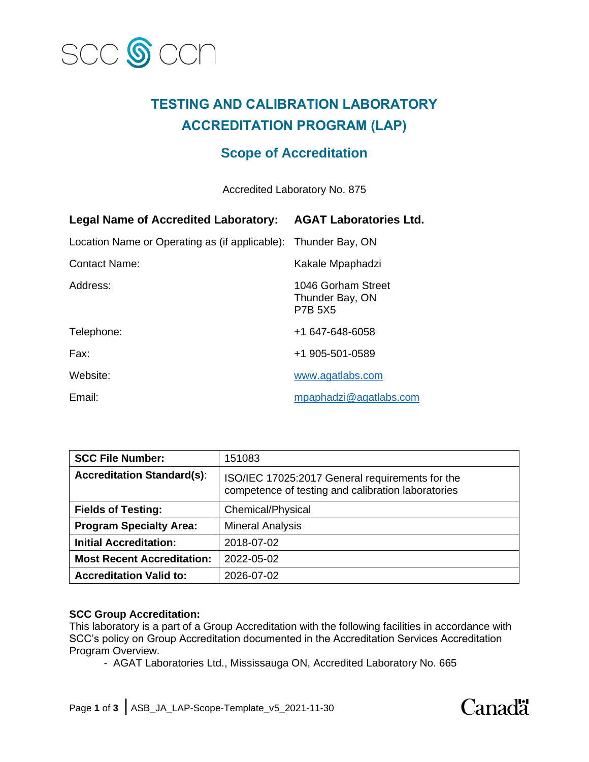

# **TESTING AND CALIBRATION LABORATORY ACCREDITATION PROGRAM (LAP)**

## **Scope of Accreditation**

Accredited Laboratory No. 875

| <b>Legal Name of Accredited Laboratory:</b>                    | <b>AGAT Laboratories Ltd.</b>                           |
|----------------------------------------------------------------|---------------------------------------------------------|
| Location Name or Operating as (if applicable): Thunder Bay, ON |                                                         |
| <b>Contact Name:</b>                                           | Kakale Mpaphadzi                                        |
| Address:                                                       | 1046 Gorham Street<br>Thunder Bay, ON<br><b>P7B 5X5</b> |
| Telephone:                                                     | +1 647-648-6058                                         |
| Fax:                                                           | +1 905-501-0589                                         |
| Website:                                                       | www.agatlabs.com                                        |
| Email:                                                         | mpaphadzi@agatlabs.com                                  |

| <b>SCC File Number:</b>           | 151083                                                                                                |
|-----------------------------------|-------------------------------------------------------------------------------------------------------|
| <b>Accreditation Standard(s):</b> | ISO/IEC 17025:2017 General requirements for the<br>competence of testing and calibration laboratories |
| <b>Fields of Testing:</b>         | <b>Chemical/Physical</b>                                                                              |
| <b>Program Specialty Area:</b>    | <b>Mineral Analysis</b>                                                                               |
| <b>Initial Accreditation:</b>     | 2018-07-02                                                                                            |
| <b>Most Recent Accreditation:</b> | 2022-05-02                                                                                            |
| <b>Accreditation Valid to:</b>    | 2026-07-02                                                                                            |

### **SCC Group Accreditation:**

This laboratory is a part of a Group Accreditation with the following facilities in accordance with SCC's policy on Group Accreditation documented in the Accreditation Services Accreditation Program Overview.

- AGAT Laboratories Ltd., Mississauga ON, Accredited Laboratory No. 665

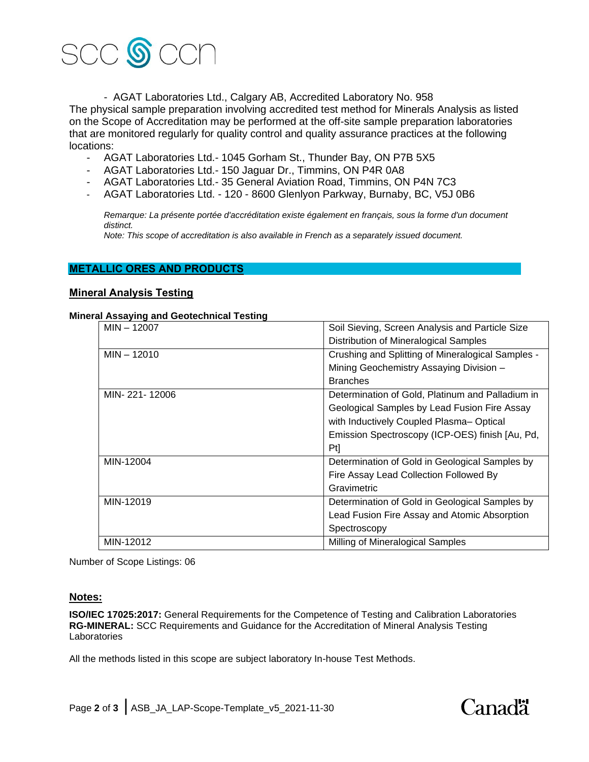

- AGAT Laboratories Ltd., Calgary AB, Accredited Laboratory No. 958 The physical sample preparation involving accredited test method for Minerals Analysis as listed on the Scope of Accreditation may be performed at the off-site sample preparation laboratories that are monitored regularly for quality control and quality assurance practices at the following locations:

- AGAT Laboratories Ltd.- 1045 Gorham St., Thunder Bay, ON P7B 5X5
- AGAT Laboratories Ltd.- 150 Jaguar Dr., Timmins, ON P4R 0A8
- AGAT Laboratories Ltd.- 35 General Aviation Road, Timmins, ON P4N 7C3
- AGAT Laboratories Ltd. 120 8600 Glenlyon Parkway, Burnaby, BC, V5J 0B6

*Remarque: La présente portée d'accréditation existe également en français, sous la forme d'un document distinct.*

*Note: This scope of accreditation is also available in French as a separately issued document.*

#### **METALLIC ORES AND PRODUCTS**

#### **Mineral Analysis Testing**

#### **Mineral Assaying and Geotechnical Testing**

| $MIN - 12007$ | Soil Sieving, Screen Analysis and Particle Size   |
|---------------|---------------------------------------------------|
|               | Distribution of Mineralogical Samples             |
| $MIN - 12010$ | Crushing and Splitting of Mineralogical Samples - |
|               | Mining Geochemistry Assaying Division -           |
|               | <b>Branches</b>                                   |
| MIN-221-12006 | Determination of Gold, Platinum and Palladium in  |
|               | Geological Samples by Lead Fusion Fire Assay      |
|               | with Inductively Coupled Plasma-Optical           |
|               | Emission Spectroscopy (ICP-OES) finish [Au, Pd,   |
|               | Pt]                                               |
| MIN-12004     | Determination of Gold in Geological Samples by    |
|               | Fire Assay Lead Collection Followed By            |
|               | Gravimetric                                       |
| MIN-12019     | Determination of Gold in Geological Samples by    |
|               | Lead Fusion Fire Assay and Atomic Absorption      |
|               | Spectroscopy                                      |
| MIN-12012     | Milling of Mineralogical Samples                  |

Number of Scope Listings: 06

### **Notes:**

**ISO/IEC 17025:2017:** General Requirements for the Competence of Testing and Calibration Laboratories **RG-MINERAL:** SCC Requirements and Guidance for the Accreditation of Mineral Analysis Testing **Laboratories** 

All the methods listed in this scope are subject laboratory In-house Test Methods.